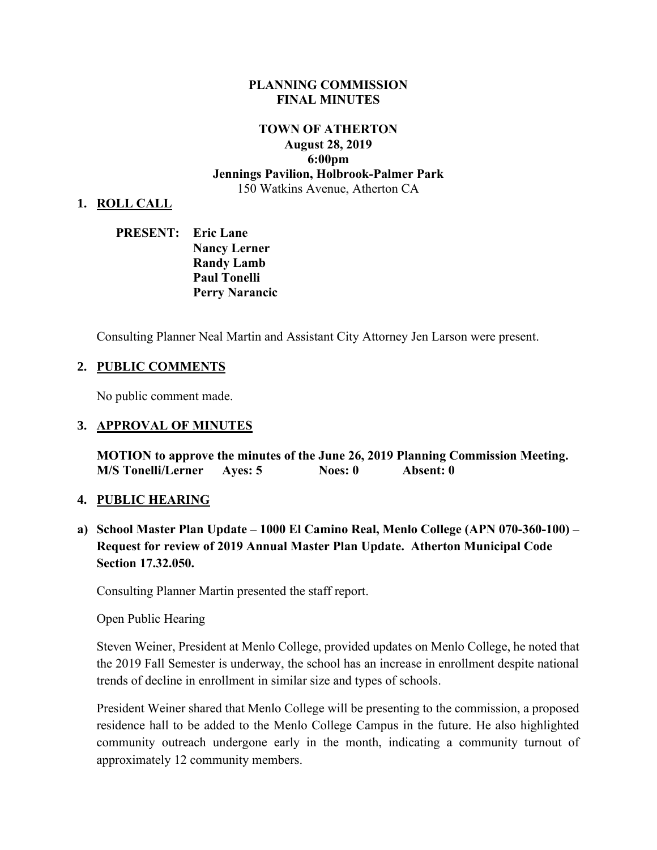#### **PLANNING COMMISSION FINAL MINUTES**

## **TOWN OF ATHERTON August 28, 2019 6:00pm Jennings Pavilion, Holbrook-Palmer Park** 150 Watkins Avenue, Atherton CA

#### **1. ROLL CALL**

| <b>PRESENT:</b> Eric Lane |                       |
|---------------------------|-----------------------|
|                           | <b>Nancy Lerner</b>   |
|                           | <b>Randy Lamb</b>     |
|                           | <b>Paul Tonelli</b>   |
|                           | <b>Perry Narancic</b> |

Consulting Planner Neal Martin and Assistant City Attorney Jen Larson were present.

#### **2. PUBLIC COMMENTS**

No public comment made.

#### **3. APPROVAL OF MINUTES**

**MOTION to approve the minutes of the June 26, 2019 Planning Commission Meeting. M/S Tonelli/Lerner Ayes: 5 Noes: 0 Absent: 0** 

#### **4. PUBLIC HEARING**

**a) School Master Plan Update – 1000 El Camino Real, Menlo College (APN 070-360-100) – Request for review of 2019 Annual Master Plan Update. Atherton Municipal Code Section 17.32.050.** 

Consulting Planner Martin presented the staff report.

Open Public Hearing

Steven Weiner, President at Menlo College, provided updates on Menlo College, he noted that the 2019 Fall Semester is underway, the school has an increase in enrollment despite national trends of decline in enrollment in similar size and types of schools.

President Weiner shared that Menlo College will be presenting to the commission, a proposed residence hall to be added to the Menlo College Campus in the future. He also highlighted community outreach undergone early in the month, indicating a community turnout of approximately 12 community members.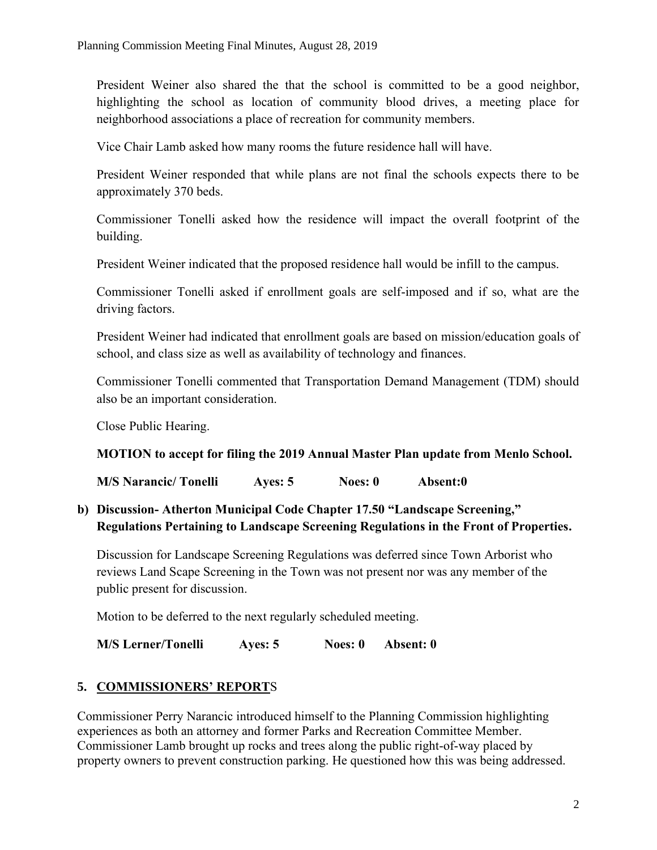President Weiner also shared the that the school is committed to be a good neighbor, highlighting the school as location of community blood drives, a meeting place for neighborhood associations a place of recreation for community members.

Vice Chair Lamb asked how many rooms the future residence hall will have.

President Weiner responded that while plans are not final the schools expects there to be approximately 370 beds.

Commissioner Tonelli asked how the residence will impact the overall footprint of the building.

President Weiner indicated that the proposed residence hall would be infill to the campus.

Commissioner Tonelli asked if enrollment goals are self-imposed and if so, what are the driving factors.

President Weiner had indicated that enrollment goals are based on mission/education goals of school, and class size as well as availability of technology and finances.

Commissioner Tonelli commented that Transportation Demand Management (TDM) should also be an important consideration.

Close Public Hearing.

### **MOTION to accept for filing the 2019 Annual Master Plan update from Menlo School.**

**M/S Narancic/ Tonelli Ayes: 5 Noes: 0 Absent:0**

**b) Discussion- Atherton Municipal Code Chapter 17.50 "Landscape Screening," Regulations Pertaining to Landscape Screening Regulations in the Front of Properties.**

Discussion for Landscape Screening Regulations was deferred since Town Arborist who reviews Land Scape Screening in the Town was not present nor was any member of the public present for discussion.

Motion to be deferred to the next regularly scheduled meeting.

**M/S Lerner/Tonelli Ayes: 5 Noes: 0 Absent: 0**

## **5. COMMISSIONERS' REPORT**S

Commissioner Perry Narancic introduced himself to the Planning Commission highlighting experiences as both an attorney and former Parks and Recreation Committee Member. Commissioner Lamb brought up rocks and trees along the public right-of-way placed by property owners to prevent construction parking. He questioned how this was being addressed.